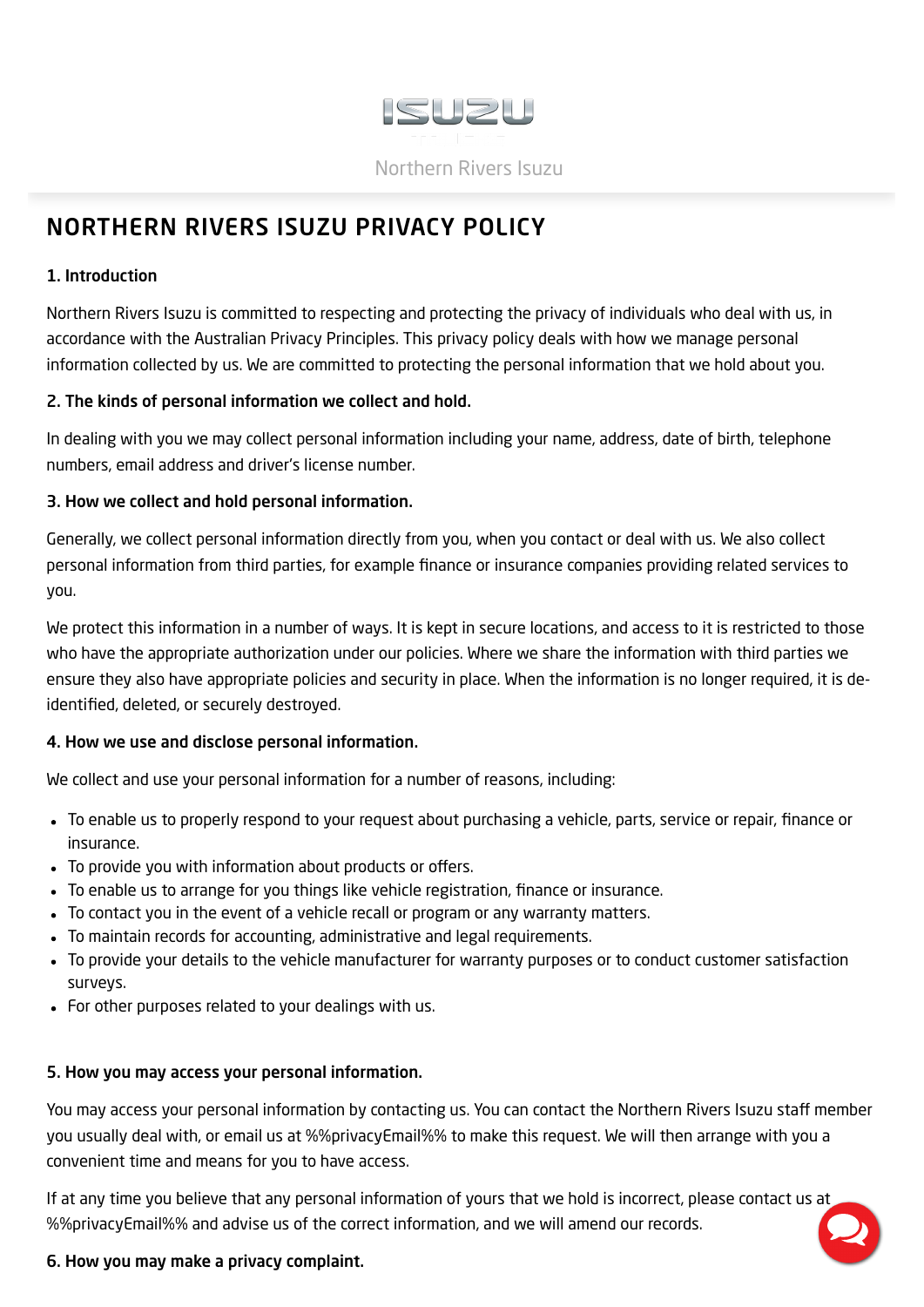

# <span id="page-0-0"></span>NORTHERN RIVERS ISUZU PRIVACY POLICY

#### 1. Introduction

Northern Rivers Isuzu is committed to respecting and protecting the privacy of individuals who deal with us, in accordance with the Australian Privacy Principles. This privacy policy deals with how we manage personal information collected by us. We are committed to protecting the personal information that we hold about you.

#### 2. The kinds of personal information we collect and hold.

In dealing with you we may collect personal information including your name, address, date of birth, telephone numbers, email address and driver's license number.

#### 3. How we collect and hold personal information.

Generally, we collect personal information directly from you, when you contact or deal with us. We also collect personal information from third parties, for example finance or insurance companies providing related services to you.

We protect this information in a number of ways. It is kept in secure locations, and access to it is restricted to those who have the appropriate authorization under our policies. Where we share the information with third parties we ensure they also have appropriate policies and security in place. When the information is no longer required, it is deidentified, deleted, or securely destroyed.

## 4. How we use and disclose personal information.

We collect and use your personal information for a number of reasons, including:

- To enable us to properly respond to your request about purchasing a vehicle, parts, service or repair, finance or insurance.
- To provide you with information about products or offers.
- To enable us to arrange for you things like vehicle registration, finance or insurance.
- To contact you in the event of a vehicle recall or program or any warranty matters.
- To maintain records for accounting, administrative and legal requirements.
- To provide your details to the vehicle manufacturer for warranty purposes or to conduct customer satisfaction surveys.
- For other purposes related to your dealings with us.

## 5. How you may access your personal information.

You may access your personal information by contacting us. You can contact the Northern Rivers Isuzu staff member you usually deal with, or email us at %%privacyEmail%% to make this request. We will then arrange with you a convenient time and means for you to have access.

If at any time you believe that any personal information of yours that we hold is incorrect, please contact us at %%privacyEmail%% and advise us of the correct information, and we will amend our records.

#### 6. How you may make a privacy complaint.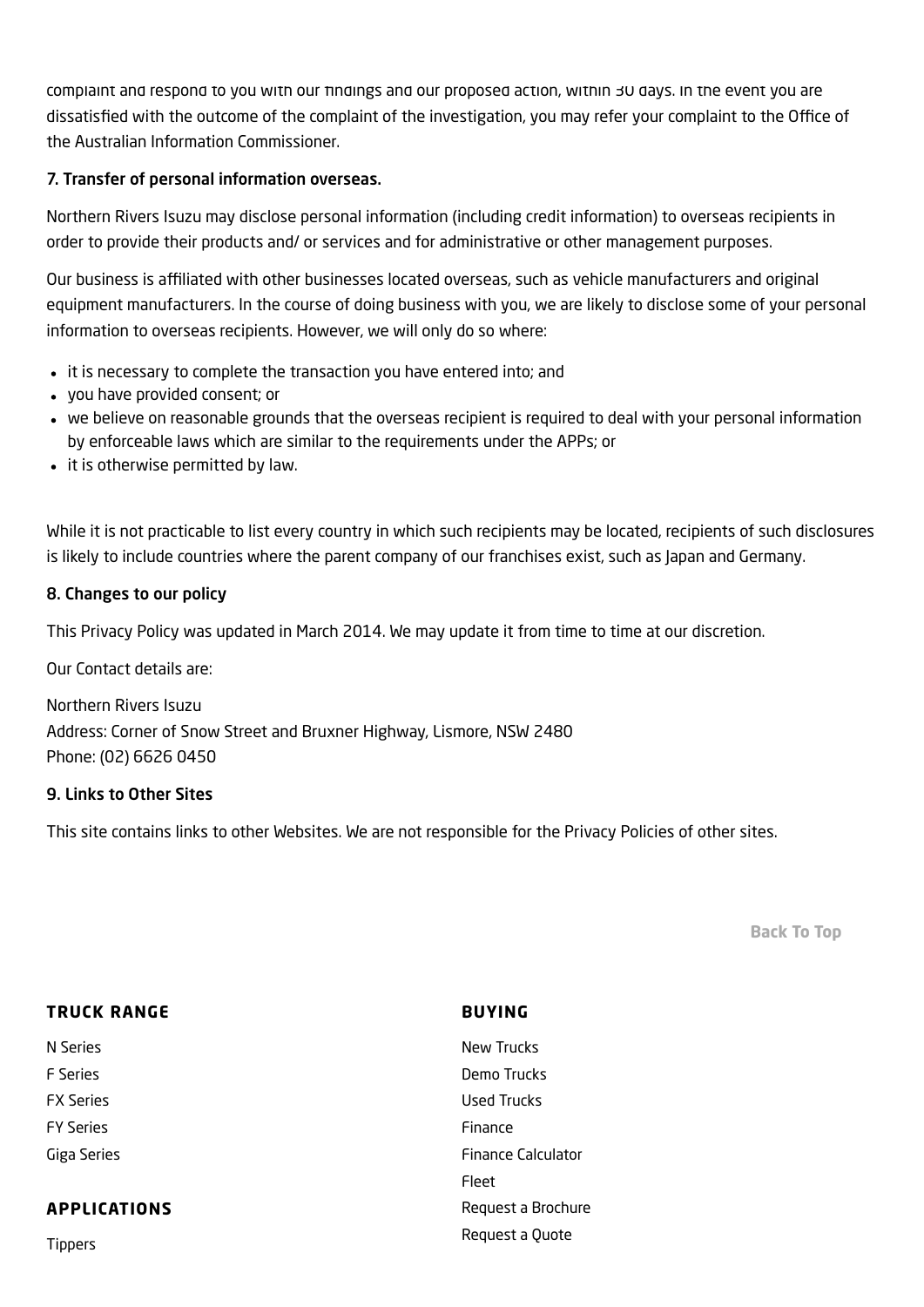complaint and respond to you with our findings and our proposed action, within 30 days. In the event you are dissatisfied with the outcome of the complaint of the investigation, you may refer your complaint to the Office of the Australian Information Commissioner.

#### 7. Transfer of personal information overseas.

Northern Rivers Isuzu may disclose personal information (including credit information) to overseas recipients in order to provide their products and/ or services and for administrative or other management purposes.

Our business is affiliated with other businesses located overseas, such as vehicle manufacturers and original equipment manufacturers. In the course of doing business with you, we are likely to disclose some of your personal information to overseas recipients. However, we will only do so where:

- it is necessary to complete the transaction you have entered into; and
- you have provided consent; or
- we believe on reasonable grounds that the overseas recipient is required to deal with your personal information by enforceable laws which are similar to the requirements under the APPs; or
- it is otherwise permitted by law.

While it is not practicable to list every country in which such recipients may be located, recipients of such disclosures is likely to include countries where the parent company of our franchises exist, such as Japan and Germany.

#### 8. Changes to our policy

This Privacy Policy was updated in March 2014. We may update it from time to time at our discretion.

Our Contact details are:

Northern Rivers Isuzu Address: Corner of Snow Street and Bruxner Highway, Lismore, NSW 2480 Phone: (02) 6626 0450

#### 9. Links to Other Sites

This site contains links to other Websites. We are not responsible for the Privacy Policies of other sites.

[Back](#page-0-0) To Top

| <b>TRUCK RANGE</b>  | <b>BUYING</b>             |
|---------------------|---------------------------|
| N Series            | New Trucks                |
| <b>F</b> Series     | Demo Trucks               |
| <b>FX Series</b>    | Used Trucks               |
| <b>FY Series</b>    | Finance                   |
| Giga Series         | <b>Finance Calculator</b> |
|                     | Fleet                     |
| <b>APPLICATIONS</b> | Request a Brochure        |
| <b>Tippers</b>      | Request a Quote           |